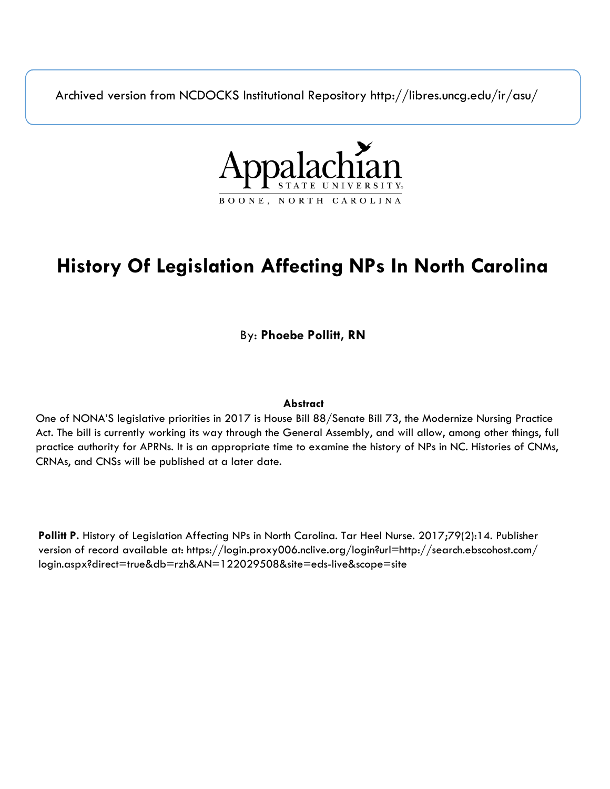Archived version from NCDOCKS Institutional Repository http://libres.uncg.edu/ir/asu/



## **History Of Legislation Affecting NPs In North Carolina**

By: **Phoebe Pollitt, RN**

## **Abstract**

One of NONA'S legislative priorities in 2017 is House Bill 88/Senate Bill 73, the Modernize Nursing Practice Act. The bill is currently working its way through the General Assembly, and will allow, among other things, full practice authority for APRNs. It is an appropriate time to examine the history of NPs in NC. Histories of CNMs, CRNAs, and CNSs will be published at a later date.

**Pollitt P.** History of Legislation Affecting NPs in North Carolina. Tar Heel Nurse. 2017;79(2):14. Publisher version of record available at: https://login.proxy006.nclive.org/login?url=http://search.ebscohost.com/ login.aspx?direct=true&db=rzh&AN=122029508&site=eds-live&scope=site